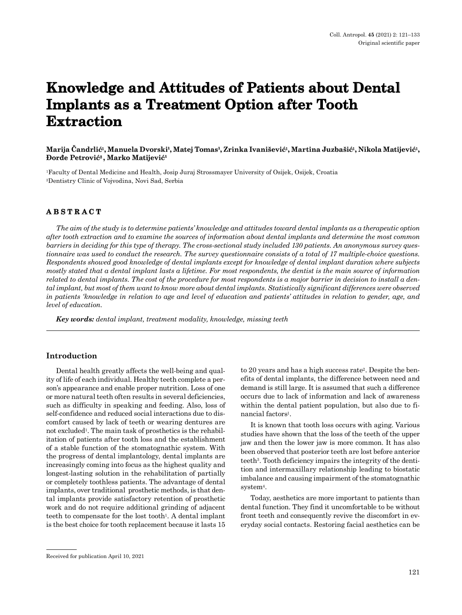# **Knowledge and Attitudes of Patients about Dental Implants as a Treatment Option after Tooth Extraction**

## **Marija Čandrlić1, Manuela Dvorski¹, Matej Tomas¹, Zrinka Ivanišević1, Martina Juzbašić1, Nikola Matijević1, Đorđe Petrović2 , Marko Matijević¹**

1Faculty of Dental Medicine and Health, Josip Juraj Strossmayer University of Osijek, Osijek, Croatia 2Dentistry Clinic of Vojvodina, Novi Sad, Serbia

## **ABSTRACT**

*The aim of the study is to determine patients' knowledge and attitudes toward dental implants as a therapeutic option after tooth extraction and to examine the sources of information about dental implants and determine the most common barriers in deciding for this type of therapy. The cross-sectional study included 130 patients. An anonymous survey questionnaire was used to conduct the research. The survey questionnaire consists of a total of 17 multiple-choice questions. Respondents showed good knowledge of dental implants except for knowledge of dental implant duration where subjects mostly stated that a dental implant lasts a lifetime. For most respondents, the dentist is the main source of information related to dental implants. The cost of the procedure for most respondents is a major barrier in decision to install a dental implant, but most of them want to know more about dental implants. Statistically significant differences were observed in patients 'knowledge in relation to age and level of education and patients' attitudes in relation to gender, age, and level of education.*

*Key words: dental implant, treatment modality, knowledge, missing teeth*

#### **Introduction**

Dental health greatly affects the well-being and quality of life of each individual. Healthy teeth complete a person's appearance and enable proper nutrition. Loss of one or more natural teeth often results in several deficiencies, such as difficulty in speaking and feeding. Also, loss of self-confidence and reduced social interactions due to discomfort caused by lack of teeth or wearing dentures are not excluded1. The main task of prosthetics is the rehabilitation of patients after tooth loss and the establishment of a stable function of the stomatognathic system. With the progress of dental implantology, dental implants are increasingly coming into focus as the highest quality and longest-lasting solution in the rehabilitation of partially or completely toothless patients. The advantage of dental implants, over traditional prosthetic methods, is that dental implants provide satisfactory retention of prosthetic work and do not require additional grinding of adjacent teeth to compensate for the lost tooth<sup>1</sup>. A dental implant is the best choice for tooth replacement because it lasts 15 to 20 years and has a high success rate2. Despite the benefits of dental implants, the difference between need and demand is still large. It is assumed that such a difference occurs due to lack of information and lack of awareness within the dental patient population, but also due to financial factors<sup>1</sup>.

It is known that tooth loss occurs with aging. Various studies have shown that the loss of the teeth of the upper jaw and then the lower jaw is more common. It has also been observed that posterior teeth are lost before anterior teeth3. Tooth deficiency impairs the integrity of the dentition and intermaxillary relationship leading to biostatic imbalance and causing impairment of the stomatognathic system<sup>4</sup>.

Today, aesthetics are more important to patients than dental function. They find it uncomfortable to be without front teeth and consequently revive the discomfort in everyday social contacts. Restoring facial aesthetics can be

Received for publication April 10, 2021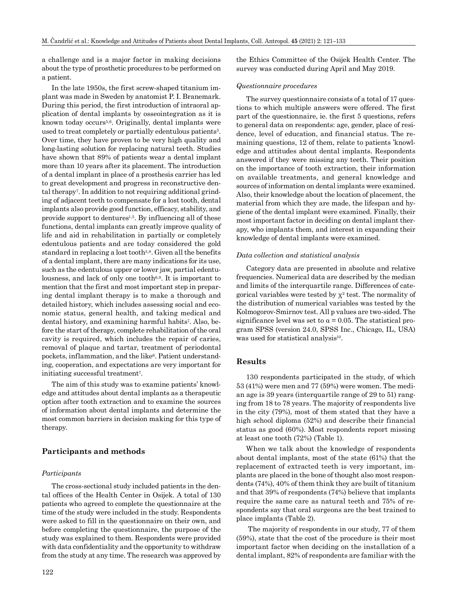a challenge and is a major factor in making decisions about the type of prosthetic procedures to be performed on a patient.

In the late 1950s, the first screw-shaped titanium implant was made in Sweden by anatomist P. I. Branemark. During this period, the first introduction of intraoral application of dental implants by osseointegration as it is known today occurs5,6. Originally, dental implants were used to treat completely or partially edentulous patients<sup>5</sup>. Over time, they have proven to be very high quality and long-lasting solution for replacing natural teeth. Studies have shown that 89% of patients wear a dental implant more than 10 years after its placement. The introduction of a dental implant in place of a prosthesis carrier has led to great development and progress in reconstructive dental therapy7. In addition to not requiring additional grinding of adjacent teeth to compensate for a lost tooth, dental implants also provide good function, efficacy, stability, and provide support to dentures<sup>1,5</sup>. By influencing all of these functions, dental implants can greatly improve quality of life and aid in rehabilitation in partially or completely edentulous patients and are today considered the gold standard in replacing a lost tooth5,8. Given all the benefits of a dental implant, there are many indications for its use, such as the edentulous upper or lower jaw, partial edentulousness, and lack of only one tooth<sup>6,9</sup>. It is important to mention that the first and most important step in preparing dental implant therapy is to make a thorough and detailed history, which includes assessing social and economic status, general health, and taking medical and dental history, and examining harmful habits7. Also, before the start of therapy, complete rehabilitation of the oral cavity is required, which includes the repair of caries, removal of plaque and tartar, treatment of periodontal pockets, inflammation, and the like<sup>6</sup>. Patient understanding, cooperation, and expectations are very important for initiating successful treatment7.

The aim of this study was to examine patients' knowledge and attitudes about dental implants as a therapeutic option after tooth extraction and to examine the sources of information about dental implants and determine the most common barriers in decision making for this type of therapy.

#### **Participants and methods**

#### *Participants*

The cross-sectional study included patients in the dental offices of the Health Center in Osijek. A total of 130 patients who agreed to complete the questionnaire at the time of the study were included in the study. Respondents were asked to fill in the questionnaire on their own, and before completing the questionnaire, the purpose of the study was explained to them. Respondents were provided with data confidentiality and the opportunity to withdraw from the study at any time. The research was approved by the Ethics Committee of the Osijek Health Center. The survey was conducted during April and May 2019.

#### *Questionnaire procedures*

The survey questionnaire consists of a total of 17 questions to which multiple answers were offered. The first part of the questionnaire, ie. the first 5 questions, refers to general data on respondents: age, gender, place of residence, level of education, and financial status. The remaining questions, 12 of them, relate to patients 'knowledge and attitudes about dental implants. Respondents answered if they were missing any teeth. Their position on the importance of tooth extraction, their information on available treatments, and general knowledge and sources of information on dental implants were examined. Also, their knowledge about the location of placement, the material from which they are made, the lifespan and hygiene of the dental implant were examined. Finally, their most important factor in deciding on dental implant therapy, who implants them, and interest in expanding their knowledge of dental implants were examined.

#### *Data collection and statistical analysis*

Category data are presented in absolute and relative frequencies. Numerical data are described by the median and limits of the interquartile range. Differences of categorical variables were tested by  $x^2$  test. The normality of the distribution of numerical variables was tested by the Kolmogorov-Smirnov test. All p values are two-sided. The significance level was set to  $\alpha = 0.05$ . The statistical program SPSS (version 24.0, SPSS Inc., Chicago, IL, USA) was used for statistical analysis<sup>10</sup>.

## **Results**

130 respondents participated in the study, of which 53 (41%) were men and 77 (59%) were women. The median age is 39 years (interquartile range of 29 to 51) ranging from 18 to 78 years. The majority of respondents live in the city (79%), most of them stated that they have a high school diploma (52%) and describe their financial status as good (60%). Most respondents report missing at least one tooth (72%) (Table 1).

When we talk about the knowledge of respondents about dental implants, most of the state (61%) that the replacement of extracted teeth is very important, implants are placed in the bone of thought also most respondents (74%), 40% of them think they are built of titanium and that 39% of respondents (74%) believe that implants require the same care as natural teeth and 75% of respondents say that oral surgeons are the best trained to place implants (Table 2).

 The majority of respondents in our study, 77 of them (59%), state that the cost of the procedure is their most important factor when deciding on the installation of a dental implant, 82% of respondents are familiar with the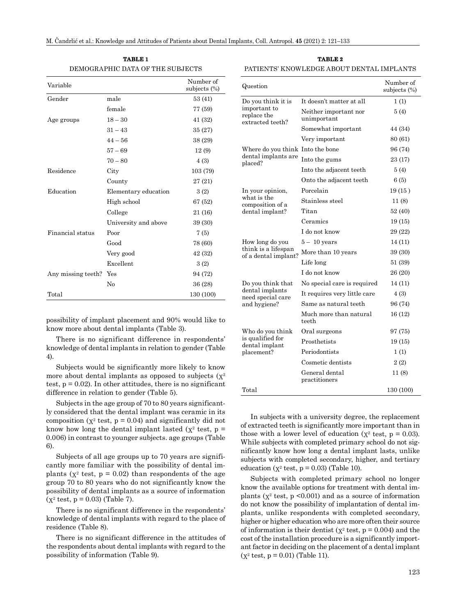| TABLE 1                          |
|----------------------------------|
| DEMOGRAPHIC DATA OF THE SUBJECTS |

| Variable           |                      | Number of<br>subjects (%) |
|--------------------|----------------------|---------------------------|
| Gender             | male                 | 53 (41)                   |
|                    | female               | 77 (59)                   |
| Age groups         | $18 - 30$            | 41 (32)                   |
|                    | $31 - 43$            | 35 (27)                   |
|                    | $44 - 56$            | 38 (29)                   |
|                    | $57 - 69$            | 12(9)                     |
|                    | $70 - 80$            | 4 (3)                     |
| Residence          | City                 | 103 (79)                  |
|                    | County               | 27 (21)                   |
| Education          | Elementary education | 3(2)                      |
|                    | High school          | 67 (52)                   |
|                    | College              | 21 (16)                   |
|                    | University and above | 39 (30)                   |
| Financial status   | Poor                 | 7(5)                      |
|                    | Good                 | 78 (60)                   |
|                    | Very good            | 42 (32)                   |
|                    | Excellent            | 3(2)                      |
| Any missing teeth? | Yes                  | 94 (72)                   |
|                    | No                   | 36 (28)                   |
| Total              |                      | 130 (100)                 |

possibility of implant placement and 90% would like to know more about dental implants (Table 3).

There is no significant difference in respondents' knowledge of dental implants in relation to gender (Table 4).

Subjects would be significantly more likely to know more about dental implants as opposed to subjects  $(\chi^2)$ test,  $p = 0.02$ ). In other attitudes, there is no significant difference in relation to gender (Table 5).

Subjects in the age group of 70 to 80 years significantly considered that the dental implant was ceramic in its composition ( $\chi^2$  test,  $p = 0.04$ ) and significantly did not know how long the dental implant lasted ( $\chi^2$  test,  $p =$ 0.006) in contrast to younger subjects. age groups (Table 6).

Subjects of all age groups up to 70 years are significantly more familiar with the possibility of dental implants ( $\chi^2$  test,  $p = 0.02$ ) than respondents of the age group 70 to 80 years who do not significantly know the possibility of dental implants as a source of information  $(x^2 \text{ test}, p = 0.03)$  (Table 7).

There is no significant difference in the respondents' knowledge of dental implants with regard to the place of residence (Table 8).

There is no significant difference in the attitudes of the respondents about dental implants with regard to the possibility of information (Table 9).

#### **TABLE 2** PATIENTS' KNOWLEDGE ABOUT DENTAL IMPLANTS

| Question                                        |                                      | Number of<br>subjects $(\%)$ |
|-------------------------------------------------|--------------------------------------|------------------------------|
| Do you think it is                              | It doesn't matter at all             | 1(1)                         |
| important to<br>replace the<br>extracted teeth? | Neither important nor<br>unimportant | 5(4)                         |
|                                                 | Somewhat important                   | 44 (34)                      |
|                                                 | Very important                       | 80 (61)                      |
| Where do you think Into the bone                |                                      | 96 (74)                      |
| dental implants are<br>placed?                  | Into the gums                        | 23 (17)                      |
|                                                 | Into the adjacent teeth              | 5(4)                         |
|                                                 | Onto the adjacent teeth              | 6(5)                         |
| In your opinion,                                | Porcelain                            | 19(15)                       |
| what is the<br>composition of a                 | Stainless steel                      | 11(8)                        |
| dental implant?                                 | Titan                                | 52 (40)                      |
|                                                 | Ceramics                             | 19(15)                       |
|                                                 | I do not know                        | 29 (22)                      |
| How long do you                                 | $5-10$ years                         | 14 (11)                      |
| think is a lifespan<br>of a dental implant?     | More than 10 years                   | 39 (30)                      |
|                                                 | Life long                            | 51 (39)                      |
|                                                 | I do not know                        | 26 (20)                      |
| Do you think that                               | No special care is required          | 14 (11)                      |
| dental implants<br>need special care            | It requires very little care         | 4(3)                         |
| and hygiene?                                    | Same as natural teeth                | 96 (74)                      |
|                                                 | Much more than natural<br>teeth      | 16(12)                       |
| Who do you think                                | Oral surgeons                        | 97 (75)                      |
| is qualified for<br>dental implant              | Prosthetists                         | 19(15)                       |
| placement?                                      | Periodontists                        | 1(1)                         |
|                                                 | Cosmetic dentists                    | 2(2)                         |
|                                                 | General dental<br>practitioners      | 11(8)                        |
| Total                                           |                                      | 130 (100)                    |

In subjects with a university degree, the replacement of extracted teeth is significantly more important than in those with a lower level of education ( $x^2$  test,  $p = 0.03$ ). While subjects with completed primary school do not significantly know how long a dental implant lasts, unlike subjects with completed secondary, higher, and tertiary education ( $\chi^2$  test,  $p = 0.03$ ) (Table 10).

Subjects with completed primary school no longer know the available options for treatment with dental implants ( $x^2$  test,  $p \le 0.001$ ) and as a source of information do not know the possibility of implantation of dental implants, unlike respondents with completed secondary, higher or higher education who are more often their source of information is their dentist ( $\chi^2$  test,  $p = 0.004$ ) and the cost of the installation procedure is a significantly important factor in deciding on the placement of a dental implant  $(\chi^2 \text{ test}, \text{ p} = 0.01)$  (Table 11).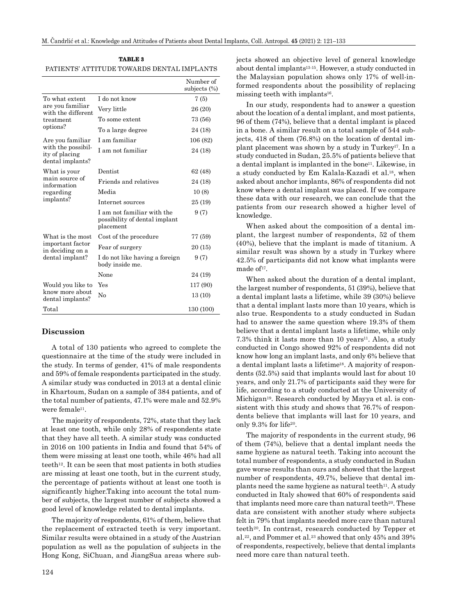|                                                          |                                                                          | Number of<br>subjects $(\%)$ |
|----------------------------------------------------------|--------------------------------------------------------------------------|------------------------------|
| To what extent                                           | I do not know                                                            | 7(5)                         |
| are you familiar<br>with the different                   | Very little                                                              | 26 (20)                      |
| treatment                                                | To some extent                                                           | 73 (56)                      |
| options?                                                 | To a large degree                                                        | 24 (18)                      |
| Are you familiar                                         | I am familiar                                                            | 106 (82)                     |
| with the possibil-<br>ity of placing<br>dental implants? | I am not familiar                                                        | 24 (18)                      |
| What is your                                             | Dentist                                                                  | 62 (48)                      |
| main source of<br>information                            | Friends and relatives                                                    | 24 (18)                      |
| regarding                                                | Media                                                                    | 10(8)                        |
| implants?                                                | Internet sources                                                         | 25 (19)                      |
|                                                          | I am not familiar with the<br>possibility of dental implant<br>placement | 9(7)                         |
| What is the most                                         | Cost of the procedure                                                    | 77 (59)                      |
| important factor<br>in deciding on a                     | Fear of surgery                                                          | 20(15)                       |
| dental implant?                                          | I do not like having a foreign<br>body inside me.                        | 9(7)                         |
|                                                          | None                                                                     | 24 (19)                      |
| Would you like to                                        | Yes                                                                      | 117 (90)                     |
| know more about<br>dental implants?                      | Nο                                                                       | 13(10)                       |
| Total                                                    |                                                                          | 130 (100)                    |

## **TABLE 3** PATIENTS' ATTITUDE TOWARDS DENTAL IMPLANTS

### **Discussion**

A total of 130 patients who agreed to complete the questionnaire at the time of the study were included in the study. In terms of gender, 41% of male respondents and 59% of female respondents participated in the study. A similar study was conducted in 2013 at a dental clinic in Khartoum, Sudan on a sample of 384 patients, and of the total number of patients, 47.1% were male and 52.9% were female<sup>11</sup>.

The majority of respondents, 72%, state that they lack at least one tooth, while only 28% of respondents state that they have all teeth. A similar study was conducted in 2016 on 100 patients in India and found that 54% of them were missing at least one tooth, while 46% had all teeth<sup>12</sup>. It can be seen that most patients in both studies are missing at least one tooth, but in the current study, the percentage of patients without at least one tooth is significantly higher.Taking into account the total number of subjects, the largest number of subjects showed a good level of knowledge related to dental implants.

The majority of respondents, 61% of them, believe that the replacement of extracted teeth is very important. Similar results were obtained in a study of the Austrian population as well as the population of subjects in the Hong Kong, SiChuan, and JiangSua areas where subjects showed an objective level of general knowledge about dental implants13-15. However, a study conducted in the Malaysian population shows only 17% of well-informed respondents about the possibility of replacing missing teeth with implants<sup>16</sup>.

In our study, respondents had to answer a question about the location of a dental implant, and most patients, 96 of them (74%), believe that a dental implant is placed in a bone. A similar result on a total sample of 544 subjects, 418 of them (76.8%) on the location of dental implant placement was shown by a study in Turkey17. In a study conducted in Sudan, 25.5% of patients believe that a dental implant is implanted in the bone<sup>11</sup>. Likewise, in a study conducted by Em Kalala-Kazadi et al.18, when asked about anchor implants, 86% of respondents did not know where a dental implant was placed. If we compare these data with our research, we can conclude that the patients from our research showed a higher level of knowledge.

When asked about the composition of a dental implant, the largest number of respondents, 52 of them (40%), believe that the implant is made of titanium. A similar result was shown by a study in Turkey where 42.5% of participants did not know what implants were made of $17$ .

When asked about the duration of a dental implant, the largest number of respondents, 51 (39%), believe that a dental implant lasts a lifetime, while 39 (30%) believe that a dental implant lasts more than 10 years, which is also true. Respondents to a study conducted in Sudan had to answer the same question where 19.3% of them believe that a dental implant lasts a lifetime, while only  $7.3\%$  think it lasts more than 10 years<sup>11</sup>. Also, a study conducted in Congo showed 92% of respondents did not know how long an implant lasts, and only 6% believe that a dental implant lasts a lifetime18. A majority of respondents (52.5%) said that implants would last for about 10 years, and only 21.7% of participants said they were for life, according to a study conducted at the University of Michigan19. Research conducted by Mayya et al. is consistent with this study and shows that 76.7% of respondents believe that implants will last for 10 years, and only 9.3% for life20.

The majority of respondents in the current study, 96 of them (74%), believe that a dental implant needs the same hygiene as natural teeth. Taking into account the total number of respondents, a study conducted in Sudan gave worse results than ours and showed that the largest number of respondents, 49.7%, believe that dental implants need the same hygiene as natural teeth $11$ . A study conducted in Italy showed that 60% of respondents said that implants need more care than natural teeth<sup>20</sup>. These data are consistent with another study where subjects felt in 79% that implants needed more care than natural teeth<sup>20</sup>. In contrast, research conducted by Tepper et al.22, and Pommer et al.23 showed that only 45% and 39% of respondents, respectively, believe that dental implants need more care than natural teeth.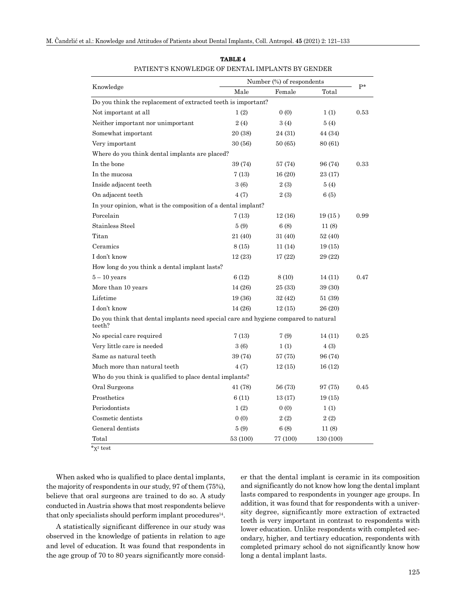|                                                                                               | Number (%) of respondents |          |           |      |  |
|-----------------------------------------------------------------------------------------------|---------------------------|----------|-----------|------|--|
| Knowledge                                                                                     | Male                      | Female   | Total     | $P*$ |  |
| Do you think the replacement of extracted teeth is important?                                 |                           |          |           |      |  |
| Not important at all                                                                          | 1(2)                      | 0(0)     | 1(1)      | 0.53 |  |
| Neither important nor unimportant                                                             | 2(4)                      | 3(4)     | 5(4)      |      |  |
| Somewhat important                                                                            | 20 (38)                   | 24 (31)  | 44 (34)   |      |  |
| Very important                                                                                | 30 (56)                   | 50 (65)  | 80 (61)   |      |  |
| Where do you think dental implants are placed?                                                |                           |          |           |      |  |
| In the bone                                                                                   | 39 (74)                   | 57 (74)  | 96 (74)   | 0.33 |  |
| In the mucosa                                                                                 | 7 (13)                    | 16(20)   | 23 (17)   |      |  |
| Inside adjacent teeth                                                                         | 3(6)                      | 2(3)     | 5(4)      |      |  |
| On adjacent teeth                                                                             | 4(7)                      | 2(3)     | 6(5)      |      |  |
| In your opinion, what is the composition of a dental implant?                                 |                           |          |           |      |  |
| Porcelain                                                                                     | 7(13)                     | 12(16)   | 19(15)    | 0.99 |  |
| Stainless Steel                                                                               | 5(9)                      | 6(8)     | 11(8)     |      |  |
| Titan                                                                                         | 21 (40)                   | 31 (40)  | 52 (40)   |      |  |
| Ceramics                                                                                      | 8 (15)                    | 11 (14)  | 19(15)    |      |  |
| I don't know                                                                                  | 12 (23)                   | 17 (22)  | 29 (22)   |      |  |
| How long do you think a dental implant lasts?                                                 |                           |          |           |      |  |
| $5-10$ years                                                                                  | 6(12)                     | 8(10)    | 14 (11)   | 0.47 |  |
| More than 10 years                                                                            | 14 (26)                   | 25 (33)  | 39 (30)   |      |  |
| Lifetime                                                                                      | 19 (36)                   | 32 (42)  | 51 (39)   |      |  |
| I don't know                                                                                  | 14 (26)                   | 12(15)   | 26 (20)   |      |  |
| Do you think that dental implants need special care and hygiene compared to natural<br>teeth? |                           |          |           |      |  |
| No special care required                                                                      | 7(13)                     | 7(9)     | 14 (11)   | 0.25 |  |
| Very little care is needed                                                                    | 3 (6)                     | 1(1)     | 4 (3)     |      |  |
| Same as natural teeth                                                                         | 39 (74)                   | 57 (75)  | 96 (74)   |      |  |
| Much more than natural teeth                                                                  | 4 (7)                     | 12(15)   | 16 (12)   |      |  |
| Who do you think is qualified to place dental implants?                                       |                           |          |           |      |  |
| Oral Surgeons                                                                                 | 41 (78)                   | 56 (73)  | 97 (75)   | 0.45 |  |
| Prosthetics                                                                                   | 6(11)                     | 13 (17)  | 19(15)    |      |  |
| Periodontists                                                                                 | 1(2)                      | 0(0)     | 1(1)      |      |  |
| Cosmetic dentists                                                                             | 0(0)                      | 2(2)     | 2(2)      |      |  |
| General dentists                                                                              | 5(9)                      | 6(8)     | 11 (8)    |      |  |
| Total                                                                                         | 53 (100)                  | 77 (100) | 130 (100) |      |  |

| <b>TABLE 4</b>                                   |
|--------------------------------------------------|
| PATIENT'S KNOWLEDGE OF DENTAL IMPLANTS BY GENDER |

\*χ2 test

When asked who is qualified to place dental implants, the majority of respondents in our study, 97 of them (75%), believe that oral surgeons are trained to do so. A study conducted in Austria shows that most respondents believe that only specialists should perform implant procedures<sup>14</sup>.

A statistically significant difference in our study was observed in the knowledge of patients in relation to age and level of education. It was found that respondents in the age group of 70 to 80 years significantly more consider that the dental implant is ceramic in its composition and significantly do not know how long the dental implant lasts compared to respondents in younger age groups. In addition, it was found that for respondents with a university degree, significantly more extraction of extracted teeth is very important in contrast to respondents with lower education. Unlike respondents with completed secondary, higher, and tertiary education, respondents with completed primary school do not significantly know how long a dental implant lasts.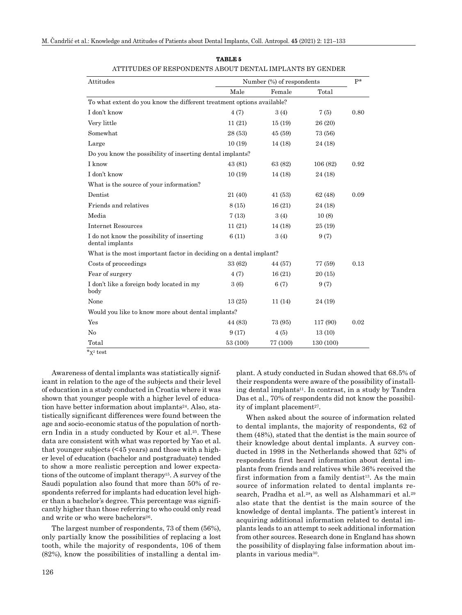| Attitudes                                                             | Number (%) of respondents |          |           |      |
|-----------------------------------------------------------------------|---------------------------|----------|-----------|------|
|                                                                       | Male                      | Female   | Total     |      |
| To what extent do you know the different treatment options available? |                           |          |           |      |
| I don't know                                                          | 4(7)                      | 3(4)     | 7(5)      | 0.80 |
| Very little                                                           | 11(21)                    | 15(19)   | 26 (20)   |      |
| Somewhat                                                              | 28 (53)                   | 45(59)   | 73 (56)   |      |
| Large                                                                 | 10(19)                    | 14 (18)  | 24 (18)   |      |
| Do you know the possibility of inserting dental implants?             |                           |          |           |      |
| I know                                                                | 43 (81)                   | 63 (82)  | 106(82)   | 0.92 |
| I don't know                                                          | 10(19)                    | 14 (18)  | 24 (18)   |      |
| What is the source of your information?                               |                           |          |           |      |
| Dentist                                                               | 21 (40)                   | 41 (53)  | 62 (48)   | 0.09 |
| Friends and relatives                                                 | 8 (15)                    | 16(21)   | 24 (18)   |      |
| Media                                                                 | 7(13)                     | 3(4)     | 10(8)     |      |
| <b>Internet Resources</b>                                             | 11(21)                    | 14 (18)  | 25 (19)   |      |
| I do not know the possibility of inserting<br>dental implants         | 6(11)                     | 3(4)     | 9(7)      |      |
| What is the most important factor in deciding on a dental implant?    |                           |          |           |      |
| Costs of proceedings                                                  | 33 (62)                   | 44 (57)  | 77 (59)   | 0.13 |
| Fear of surgery                                                       | 4(7)                      | 16(21)   | 20(15)    |      |
| I don't like a foreign body located in my<br>body                     | 3(6)                      | 6(7)     | 9(7)      |      |
| None                                                                  | 13(25)                    | 11(14)   | 24 (19)   |      |
| Would you like to know more about dental implants?                    |                           |          |           |      |
| Yes                                                                   | 44 (83)                   | 73 (95)  | 117 (90)  | 0.02 |
| $\rm No$                                                              | 9(17)                     | 4(5)     | 13(10)    |      |
| Total                                                                 | 53 (100)                  | 77 (100) | 130 (100) |      |

**TABLE 5** ATTITUDES OF RESPONDENTS ABOUT DENTAL IMPLANTS BY GENDER

Awareness of dental implants was statistically significant in relation to the age of the subjects and their level of education in a study conducted in Croatia where it was shown that younger people with a higher level of education have better information about implants<sup>24</sup>. Also, statistically significant differences were found between the age and socio-economic status of the population of northern India in a study conducted by Kour et al.25. These data are consistent with what was reported by Yao et al. that younger subjects (<45 years) and those with a higher level of education (bachelor and postgraduate) tended to show a more realistic perception and lower expectations of the outcome of implant therapy15. A survey of the Saudi population also found that more than 50% of respondents referred for implants had education level higher than a bachelor's degree. This percentage was significantly higher than those referring to who could only read and write or who were bachelors<sup>26</sup>.

The largest number of respondents, 73 of them (56%), only partially know the possibilities of replacing a lost tooth, while the majority of respondents, 106 of them (82%), know the possibilities of installing a dental im-

plant. A study conducted in Sudan showed that 68.5% of their respondents were aware of the possibility of installing dental implants<sup>11</sup>. In contrast, in a study by Tandra Das et al., 70% of respondents did not know the possibility of implant placement<sup>27</sup>.

When asked about the source of information related to dental implants, the majority of respondents, 62 of them (48%), stated that the dentist is the main source of their knowledge about dental implants. A survey conducted in 1998 in the Netherlands showed that 52% of respondents first heard information about dental implants from friends and relatives while 36% received the first information from a family dentist<sup>13</sup>. As the main source of information related to dental implants research, Pradha et al.<sup>28</sup>, as well as Alshammari et al.<sup>29</sup> also state that the dentist is the main source of the knowledge of dental implants. The patient's interest in acquiring additional information related to dental implants leads to an attempt to seek additional information from other sources. Research done in England has shown the possibility of displaying false information about implants in various media30.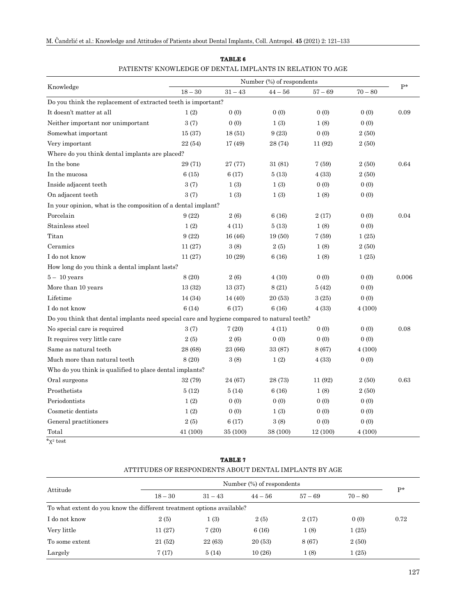|                                                                                            |           |           | Number (%) of respondents |           |           |       |
|--------------------------------------------------------------------------------------------|-----------|-----------|---------------------------|-----------|-----------|-------|
| Knowledge                                                                                  | $18 - 30$ | $31 - 43$ | $44 - 56$                 | $57 - 69$ | $70 - 80$ | p*    |
| Do you think the replacement of extracted teeth is important?                              |           |           |                           |           |           |       |
| It doesn't matter at all                                                                   | 1(2)      | 0(0)      | 0(0)                      | 0(0)      | 0(0)      | 0.09  |
| Neither important nor unimportant                                                          | 3(7)      | 0(0)      | 1(3)                      | 1(8)      | 0(0)      |       |
| Somewhat important                                                                         | 15(37)    | 18(51)    | 9(23)                     | 0(0)      | 2(50)     |       |
| Very important                                                                             | 22(54)    | 17 (49)   | 28 (74)                   | 11 (92)   | 2(50)     |       |
| Where do you think dental implants are placed?                                             |           |           |                           |           |           |       |
| In the bone                                                                                | 29 (71)   | 27 (77)   | 31 (81)                   | 7(59)     | 2(50)     | 0.64  |
| In the mucosa                                                                              | 6(15)     | 6(17)     | 5(13)                     | 4(33)     | 2(50)     |       |
| Inside adjacent teeth                                                                      | 3(7)      | 1(3)      | 1(3)                      | 0(0)      | 0(0)      |       |
| On adjacent teeth                                                                          | 3(7)      | 1(3)      | 1(3)                      | 1(8)      | 0(0)      |       |
| In your opinion, what is the composition of a dental implant?                              |           |           |                           |           |           |       |
| Porcelain                                                                                  | 9(22)     | 2(6)      | 6(16)                     | 2(17)     | 0(0)      | 0.04  |
| Stainless steel                                                                            | 1(2)      | 4(11)     | 5(13)                     | 1(8)      | 0(0)      |       |
| Titan                                                                                      | 9(22)     | 16(46)    | 19(50)                    | 7(59)     | 1(25)     |       |
| Ceramics                                                                                   | 11(27)    | 3(8)      | 2(5)                      | 1(8)      | 2(50)     |       |
| I do not know                                                                              | 11(27)    | 10(29)    | 6(16)                     | 1(8)      | 1(25)     |       |
| How long do you think a dental implant lasts?                                              |           |           |                           |           |           |       |
| $5- \ 10 \ \mathrm{years}$                                                                 | 8 (20)    | 2(6)      | 4(10)                     | 0(0)      | 0(0)      | 0.006 |
| More than 10 years                                                                         | 13 (32)   | 13(37)    | 8(21)                     | 5(42)     | 0(0)      |       |
| Lifetime                                                                                   | 14 (34)   | 14 (40)   | 20 (53)                   | 3(25)     | 0(0)      |       |
| I do not know                                                                              | 6(14)     | 6(17)     | 6(16)                     | 4(33)     | 4(100)    |       |
| Do you think that dental implants need special care and hygiene compared to natural teeth? |           |           |                           |           |           |       |
| No special care is required                                                                | 3(7)      | 7(20)     | 4(11)                     | 0(0)      | 0(0)      | 0.08  |
| It requires very little care                                                               | 2(5)      | 2(6)      | 0(0)                      | 0(0)      | 0(0)      |       |
| Same as natural teeth                                                                      | 28 (68)   | 23 (66)   | 33 (87)                   | 8 (67)    | 4(100)    |       |
| Much more than natural teeth                                                               | 8 (20)    | 3(8)      | 1(2)                      | 4(33)     | 0(0)      |       |
| Who do you think is qualified to place dental implants?                                    |           |           |                           |           |           |       |
| Oral surgeons                                                                              | 32 (79)   | 24 (67)   | 28 (73)                   | 11 (92)   | 2(50)     | 0.63  |
| Prosthetists                                                                               | 5(12)     | 5(14)     | 6(16)                     | 1(8)      | 2(50)     |       |
| Periodontists                                                                              | 1(2)      | 0(0)      | 0(0)                      | 0(0)      | 0(0)      |       |
| Cosmetic dentists                                                                          | 1(2)      | 0(0)      | 1(3)                      | 0(0)      | 0(0)      |       |
| General practitioners                                                                      | 2(5)      | 6(17)     | 3(8)                      | 0(0)      | 0(0)      |       |
| Total                                                                                      | 41 (100)  | 35 (100)  | 38 (100)                  | 12 (100)  | 4(100)    |       |

## **TABLE 6** PATIENTS' KNOWLEDGE OF DENTAL IMPLANTS IN RELATION TO AGE

 $\overline{x^2 \text{ test}}$ 

|                                                                       | ATTITUDES OF RESPONDENTS ABOUT DENTAL IMPLANTS BY AGE |           |                           |           |           |                |
|-----------------------------------------------------------------------|-------------------------------------------------------|-----------|---------------------------|-----------|-----------|----------------|
|                                                                       |                                                       |           | Number (%) of respondents |           |           | $\mathbf{p}$ * |
| Attitude                                                              | $18 - 30$                                             | $31 - 43$ | $44 - 56$                 | $57 - 69$ | $70 - 80$ |                |
| To what extent do you know the different treatment options available? |                                                       |           |                           |           |           |                |
| I do not know                                                         | 2(5)                                                  | 1(3)      | 2(5)                      | 2(17)     | 0(0)      | 0.72           |
| Very little                                                           | 11 (27)                                               | 7(20)     | 6(16)                     | 1(8)      | 1(25)     |                |

To some extent 21 (52) 22 (63) 20 (53) 8 (67) 2 (50) Largely  $7(17)$   $5(14)$   $10(26)$   $1(8)$   $1(25)$ 

**TABLE 7**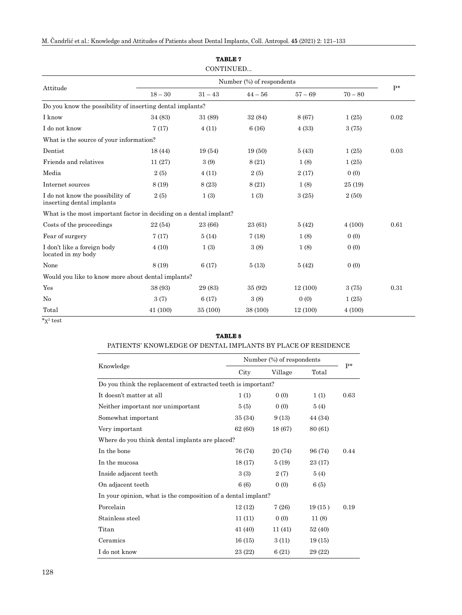|                                                                    |                           | CONTINUED |           |           |           |      |
|--------------------------------------------------------------------|---------------------------|-----------|-----------|-----------|-----------|------|
|                                                                    | Number (%) of respondents |           |           |           |           | $P*$ |
| Attitude                                                           | $18 - 30$                 | $31 - 43$ | $44 - 56$ | $57 - 69$ | $70 - 80$ |      |
| Do you know the possibility of inserting dental implants?          |                           |           |           |           |           |      |
| I know                                                             | 34 (83)                   | 31 (89)   | 32 (84)   | 8 (67)    | 1(25)     | 0.02 |
| I do not know                                                      | 7(17)                     | 4(11)     | 6(16)     | 4(33)     | 3(75)     |      |
| What is the source of your information?                            |                           |           |           |           |           |      |
| Dentist                                                            | 18(44)                    | 19 (54)   | 19(50)    | 5(43)     | 1(25)     | 0.03 |
| Friends and relatives                                              | 11(27)                    | 3(9)      | 8(21)     | 1(8)      | 1(25)     |      |
| Media                                                              | 2(5)                      | 4(11)     | 2(5)      | 2(17)     | 0(0)      |      |
| Internet sources                                                   | 8 (19)                    | 8 (23)    | 8(21)     | 1(8)      | 25(19)    |      |
| I do not know the possibility of<br>inserting dental implants      | 2(5)                      | 1(3)      | 1(3)      | 3(25)     | 2(50)     |      |
| What is the most important factor in deciding on a dental implant? |                           |           |           |           |           |      |
| Costs of the proceedings                                           | 22(54)                    | 23 (66)   | 23 (61)   | 5(42)     | 4(100)    | 0.61 |
| Fear of surgery                                                    | 7(17)                     | 5(14)     | 7(18)     | 1(8)      | 0(0)      |      |
| I don't like a foreign body<br>located in my body                  | 4(10)                     | 1(3)      | 3(8)      | 1(8)      | 0(0)      |      |
| None                                                               | 8 (19)                    | 6(17)     | 5(13)     | 5(42)     | 0(0)      |      |
| Would you like to know more about dental implants?                 |                           |           |           |           |           |      |
| Yes                                                                | 38 (93)                   | 29 (83)   | 35 (92)   | 12(100)   | 3(75)     | 0.31 |
| No                                                                 | 3(7)                      | 6(17)     | 3(8)      | 0(0)      | 1(25)     |      |
| Total                                                              | 41 (100)                  | 35 (100)  | 38 (100)  | 12 (100)  | 4(100)    |      |

**TABLE 7**

 $\overline{x^2}$  test

# **TABLE 8**

## PATIENTS' KNOWLEDGE OF DENTAL IMPLANTS BY PLACE OF RESIDENCE

|                                                               | Number (%) of respondents |         |         |      |
|---------------------------------------------------------------|---------------------------|---------|---------|------|
| Knowledge                                                     | City                      | Village | Total   | $P*$ |
| Do you think the replacement of extracted teeth is important? |                           |         |         |      |
| It doesn't matter at all                                      | 1(1)                      | 0(0)    | 1(1)    | 0.63 |
| Neither important nor unimportant                             | 5(5)                      | 0(0)    | 5(4)    |      |
| Somewhat important                                            | 35 (34)                   | 9(13)   | 44 (34) |      |
| Very important                                                | 62 (60)                   | 18 (67) | 80 (61) |      |
| Where do you think dental implants are placed?                |                           |         |         |      |
| In the bone                                                   | 76 (74)                   | 20 (74) | 96 (74) | 0.44 |
| In the mucosa                                                 | 18(17)                    | 5(19)   | 23 (17) |      |
| Inside adjacent teeth                                         | 3(3)                      | 2(7)    | 5(4)    |      |
| On adjacent teeth                                             | 6(6)                      | 0(0)    | 6(5)    |      |
| In your opinion, what is the composition of a dental implant? |                           |         |         |      |
| Porcelain                                                     | 12(12)                    | 7(26)   | 19(15)  | 0.19 |
| Stainless steel                                               | 11(11)                    | 0(0)    | 11(8)   |      |
| Titan                                                         | 41 (40)                   | 11 (41) | 52 (40) |      |
| Ceramics                                                      | 16(15)                    | 3(11)   | 19(15)  |      |
| I do not know                                                 | 23 (22)                   | 6(21)   | 29 (22) |      |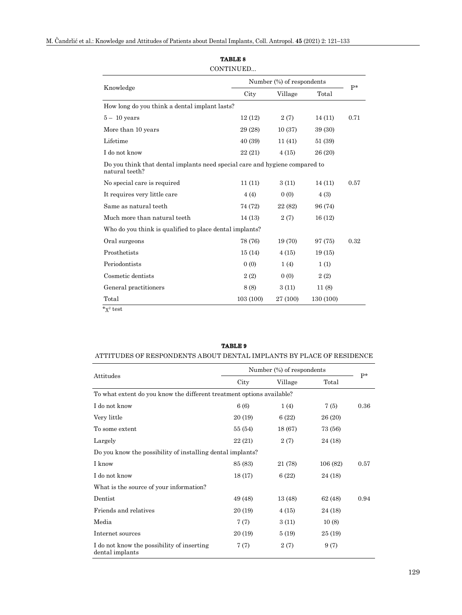|                                                                                               |          | Number (%) of respondents |           |      |  |
|-----------------------------------------------------------------------------------------------|----------|---------------------------|-----------|------|--|
| Knowledge                                                                                     | City     | Village                   | Total     | $P*$ |  |
| How long do you think a dental implant lasts?                                                 |          |                           |           |      |  |
| $5 - 10$ years                                                                                | 12(12)   | 2(7)                      | 14(11)    | 0.71 |  |
| More than 10 years                                                                            | 29 (28)  | 10(37)                    | 39 (30)   |      |  |
| Lifetime                                                                                      | 40 (39)  | 11(41)                    | 51 (39)   |      |  |
| I do not know                                                                                 | 22 (21)  | 4(15)                     | 26 (20)   |      |  |
| Do you think that dental implants need special care and hygiene compared to<br>natural teeth? |          |                           |           |      |  |
| No special care is required                                                                   | 11(11)   | 3(11)                     | 14(11)    | 0.57 |  |
| It requires very little care                                                                  | 4(4)     | 0(0)                      | 4 (3)     |      |  |
| Same as natural teeth                                                                         | 74 (72)  | 22 (82)                   | 96 (74)   |      |  |
| Much more than natural teeth                                                                  | 14(13)   | 2(7)                      | 16(12)    |      |  |
| Who do you think is qualified to place dental implants?                                       |          |                           |           |      |  |
| Oral surgeons                                                                                 | 78 (76)  | 19 (70)                   | 97 (75)   | 0.32 |  |
| Prosthetists                                                                                  | 15(14)   | 4(15)                     | 19(15)    |      |  |
| Periodontists                                                                                 | 0(0)     | 1(4)                      | 1(1)      |      |  |
| Cosmetic dentists                                                                             | 2(2)     | 0(0)                      | 2(2)      |      |  |
| General practitioners                                                                         | 8(8)     | 3(11)                     | 11(8)     |      |  |
| Total                                                                                         | 103(100) | 27 (100)                  | 130 (100) |      |  |

# **TABLE 8**

# ATTITUDES OF RESPONDENTS ABOUT DENTAL IMPLANTS BY PLACE OF RESIDENCE Attitudes Number (%) of respondents  $-$  P<sup>\*</sup> City Village Total To what extent do you know the different treatment options available?

**TABLE 9**

| To what extent do you know the different treatment options available? |         |         |          |      |
|-----------------------------------------------------------------------|---------|---------|----------|------|
| I do not know                                                         | 6(6)    | 1(4)    | 7(5)     | 0.36 |
| Very little                                                           | 20 (19) | 6(22)   | 26 (20)  |      |
| To some extent                                                        | 55 (54) | 18 (67) | 73 (56)  |      |
| Largely                                                               | 22(21)  | 2(7)    | 24 (18)  |      |
| Do you know the possibility of installing dental implants?            |         |         |          |      |
| I know                                                                | 85 (83) | 21 (78) | 106 (82) | 0.57 |
| I do not know                                                         | 18(17)  | 6(22)   | 24 (18)  |      |
| What is the source of your information?                               |         |         |          |      |
| Dentist                                                               | 49 (48) | 13 (48) | 62 (48)  | 0.94 |
| Friends and relatives                                                 | 20 (19) | 4(15)   | 24 (18)  |      |
| Media                                                                 | 7(7)    | 3(11)   | 10(8)    |      |
| Internet sources                                                      | 20 (19) | 5(19)   | 25 (19)  |      |
| I do not know the possibility of inserting<br>dental implants         | 7(7)    | 2(7)    | 9(7)     |      |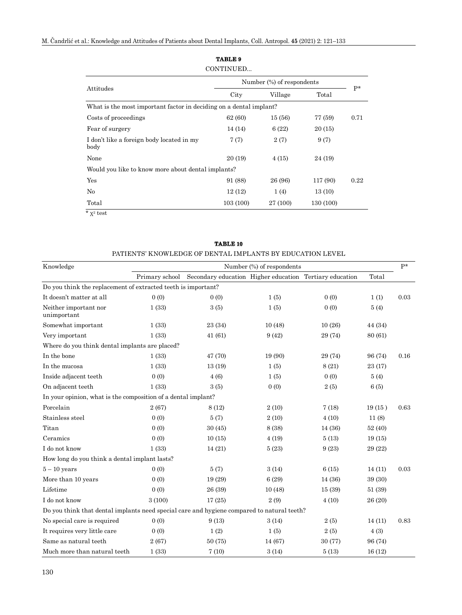|                                                                    | Number (%) of respondents |          |           |      |  |
|--------------------------------------------------------------------|---------------------------|----------|-----------|------|--|
| Attitudes                                                          | City<br>Village           |          | Total     | $P*$ |  |
| What is the most important factor in deciding on a dental implant? |                           |          |           |      |  |
| Costs of proceedings                                               | 62 (60)                   | 15(56)   | 77 (59)   | 0.71 |  |
| Fear of surgery                                                    | 14 (14)                   | 6(22)    | 20 (15)   |      |  |
| I don't like a foreign body located in my<br>body                  | 7(7)                      | 2(7)     | 9(7)      |      |  |
| None                                                               | 20 (19)                   | 4(15)    | 24 (19)   |      |  |
| Would you like to know more about dental implants?                 |                           |          |           |      |  |
| Yes                                                                | 91 (88)                   | 26 (96)  | 117 (90)  | 0.22 |  |
| $\rm No$                                                           | 12(12)                    | 1(4)     | 13(10)    |      |  |
| Total                                                              | 103(100)                  | 27 (100) | 130 (100) |      |  |

|  | <b>TABLE 10</b> |  |  |
|--|-----------------|--|--|

|                                                                                            |                           | PATIENTS' KNOWLEDGE OF DENTAL IMPLANTS BY EDUCATION LEVEL |         |         |         |      |
|--------------------------------------------------------------------------------------------|---------------------------|-----------------------------------------------------------|---------|---------|---------|------|
| Knowledge                                                                                  | Number (%) of respondents |                                                           |         |         |         | $P*$ |
|                                                                                            | Primary school            | Secondary education Higher education Tertiary education   |         |         | Total   |      |
| Do you think the replacement of extracted teeth is important?                              |                           |                                                           |         |         |         |      |
| It doesn't matter at all                                                                   | 0(0)                      | 0(0)                                                      | 1(5)    | 0(0)    | 1(1)    | 0.03 |
| Neither important nor<br>unimportant                                                       | 1(33)                     | 3(5)                                                      | 1(5)    | 0(0)    | 5(4)    |      |
| Somewhat important                                                                         | 1(33)                     | 23 (34)                                                   | 10(48)  | 10(26)  | 44 (34) |      |
| Very important                                                                             | 1(33)                     | 41(61)                                                    | 9(42)   | 29 (74) | 80 (61) |      |
| Where do you think dental implants are placed?                                             |                           |                                                           |         |         |         |      |
| In the bone                                                                                | 1(33)                     | 47 (70)                                                   | 19 (90) | 29 (74) | 96 (74) | 0.16 |
| In the mucosa                                                                              | 1(33)                     | 13(19)                                                    | 1(5)    | 8(21)   | 23 (17) |      |
| Inside adjacent teeth                                                                      | 0(0)                      | 4(6)                                                      | 1(5)    | 0(0)    | 5(4)    |      |
| On adjacent teeth                                                                          | 1(33)                     | 3(5)                                                      | 0(0)    | 2(5)    | 6(5)    |      |
| In your opinion, what is the composition of a dental implant?                              |                           |                                                           |         |         |         |      |
| Porcelain                                                                                  | 2(67)                     | 8(12)                                                     | 2(10)   | 7(18)   | 19(15)  | 0.63 |
| Stainless steel                                                                            | 0(0)                      | 5(7)                                                      | 2(10)   | 4(10)   | 11(8)   |      |
| Titan                                                                                      | 0(0)                      | 30(45)                                                    | 8 (38)  | 14 (36) | 52 (40) |      |
| Ceramics                                                                                   | 0(0)                      | 10(15)                                                    | 4(19)   | 5(13)   | 19(15)  |      |
| I do not know                                                                              | 1(33)                     | 14(21)                                                    | 5(23)   | 9(23)   | 29 (22) |      |
| How long do you think a dental implant lasts?                                              |                           |                                                           |         |         |         |      |
| $5 - 10$ years                                                                             | 0(0)                      | 5(7)                                                      | 3(14)   | 6(15)   | 14(11)  | 0.03 |
| More than 10 years                                                                         | 0(0)                      | 19 (29)                                                   | 6(29)   | 14 (36) | 39 (30) |      |
| Lifetime                                                                                   | 0(0)                      | 26 (39)                                                   | 10(48)  | 15 (39) | 51 (39) |      |
| I do not know                                                                              | 3(100)                    | 17(25)                                                    | 2(9)    | 4(10)   | 26 (20) |      |
| Do you think that dental implants need special care and hygiene compared to natural teeth? |                           |                                                           |         |         |         |      |
| No special care is required                                                                | 0(0)                      | 9(13)                                                     | 3(14)   | 2(5)    | 14(11)  | 0.83 |
| It requires very little care                                                               | 0(0)                      | 1(2)                                                      | 1(5)    | 2(5)    | 4(3)    |      |
| Same as natural teeth                                                                      | 2(67)                     | 50(75)                                                    | 14 (67) | 30(77)  | 96 (74) |      |
| Much more than natural teeth                                                               | 1(33)                     | 7(10)                                                     | 3(14)   | 5(13)   | 16(12)  |      |

# **TABLE 9**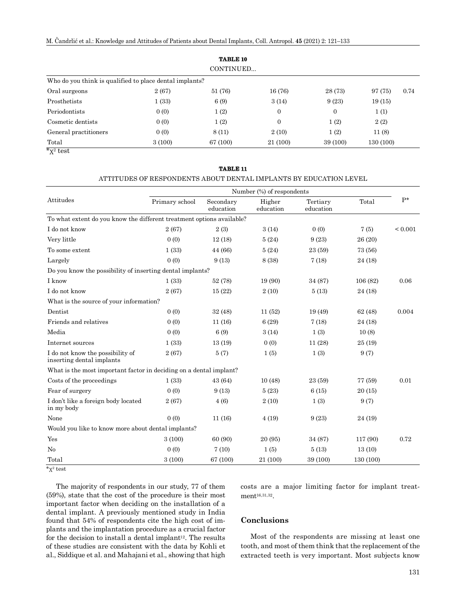M. Čandrlić et al.: Knowledge and Attitudes of Patients about Dental Implants, Coll. Antropol. **45** (2021) 2: 121–133

|                                                                                     |        | <b>TABLE 10</b> |                  |                |           |      |
|-------------------------------------------------------------------------------------|--------|-----------------|------------------|----------------|-----------|------|
|                                                                                     |        | CONTINUED       |                  |                |           |      |
| Who do you think is qualified to place dental implants?                             |        |                 |                  |                |           |      |
| Oral surgeons                                                                       | 2(67)  | 51 (76)         | 16 (76)          | 28 (73)        | 97 (75)   | 0.74 |
| Prosthetists                                                                        | 1(33)  | 6(9)            | 3(14)            | 9(23)          | 19(15)    |      |
| Periodontists                                                                       | 0(0)   | 1(2)            | $\boldsymbol{0}$ | $\overline{0}$ | 1(1)      |      |
| Cosmetic dentists                                                                   | 0(0)   | 1(2)            | $\overline{0}$   | 1(2)           | 2(2)      |      |
| General practitioners                                                               | 0(0)   | 8(11)           | 2(10)            | 1(2)           | 11(8)     |      |
| Total<br>$\overline{a}$ $\overline{a}$ $\overline{a}$ $\overline{a}$ $\overline{a}$ | 3(100) | 67 (100)        | 21 (100)         | 39 (100)       | 130 (100) |      |

 $\overline{\mathbf{x}^2}$  test

#### **TABLE 11**

#### ATTITUDES OF RESPONDENTS ABOUT DENTAL IMPLANTS BY EDUCATION LEVEL

|                                                                       | Number (%) of respondents |                        |                     |                       |           |              |
|-----------------------------------------------------------------------|---------------------------|------------------------|---------------------|-----------------------|-----------|--------------|
| Attitudes                                                             | Primary school            | Secondary<br>education | Higher<br>education | Tertiary<br>education | Total     | $P^*$        |
| To what extent do you know the different treatment options available? |                           |                        |                     |                       |           |              |
| I do not know                                                         | 2(67)                     | 2(3)                   | 3(14)               | 0(0)                  | 7(5)      | ${}_{0.001}$ |
| Very little                                                           | 0(0)                      | 12(18)                 | 5(24)               | 9(23)                 | 26 (20)   |              |
| To some extent                                                        | 1(33)                     | 44 (66)                | 5(24)               | 23 (59)               | 73 (56)   |              |
| Largely                                                               | 0(0)                      | 9(13)                  | 8 (38)              | 7(18)                 | 24 (18)   |              |
| Do you know the possibility of inserting dental implants?             |                           |                        |                     |                       |           |              |
| I know                                                                | 1(33)                     | 52 (78)                | 19 (90)             | 34 (87)               | 106(82)   | 0.06         |
| I do not know                                                         | 2(67)                     | 15(22)                 | 2(10)               | 5(13)                 | 24 (18)   |              |
| What is the source of your information?                               |                           |                        |                     |                       |           |              |
| Dentist                                                               | 0(0)                      | 32 (48)                | 11(52)              | 19 (49)               | 62 (48)   | 0.004        |
| Friends and relatives                                                 | 0(0)                      | 11(16)                 | 6(29)               | 7(18)                 | 24 (18)   |              |
| Media                                                                 | 0(0)                      | 6(9)                   | 3(14)               | 1(3)                  | 10(8)     |              |
| Internet sources                                                      | 1(33)                     | 13(19)                 | 0(0)                | 11(28)                | 25(19)    |              |
| I do not know the possibility of<br>inserting dental implants         | 2(67)                     | 5(7)                   | 1(5)                | 1(3)                  | 9(7)      |              |
| What is the most important factor in deciding on a dental implant?    |                           |                        |                     |                       |           |              |
| Costs of the proceedings                                              | 1(33)                     | 43 (64)                | 10(48)              | 23 (59)               | 77 (59)   | 0.01         |
| Fear of surgery                                                       | 0(0)                      | 9(13)                  | 5(23)               | 6(15)                 | 20(15)    |              |
| I don't like a foreign body located<br>in my body                     | 2(67)                     | 4(6)                   | 2(10)               | 1(3)                  | 9(7)      |              |
| None                                                                  | 0(0)                      | 11(16)                 | 4(19)               | 9(23)                 | 24 (19)   |              |
| Would you like to know more about dental implants?                    |                           |                        |                     |                       |           |              |
| Yes                                                                   | 3(100)                    | 60 (90)                | 20 (95)             | 34 (87)               | 117 (90)  | 0.72         |
| No                                                                    | 0(0)                      | 7(10)                  | 1(5)                | 5(13)                 | 13(10)    |              |
| Total                                                                 | 3(100)                    | 67 (100)               | 21 (100)            | 39 (100)              | 130 (100) |              |

\*χ2 test

The majority of respondents in our study, 77 of them (59%), state that the cost of the procedure is their most important factor when deciding on the installation of a dental implant. A previously mentioned study in India found that 54% of respondents cite the high cost of implants and the implantation procedure as a crucial factor for the decision to install a dental implant<sup>12</sup>. The results of these studies are consistent with the data by Kohli et al., Siddique et al. and Mahajani et al., showing that high costs are a major limiting factor for implant treatment<sup>16,31,32</sup>.

### **Conclusions**

Most of the respondents are missing at least one tooth, and most of them think that the replacement of the extracted teeth is very important. Most subjects know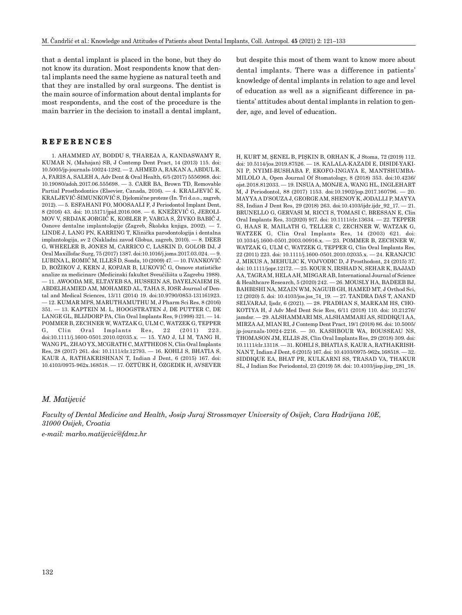that a dental implant is placed in the bone, but they do not know its duration. Most respondents know that dental implants need the same hygiene as natural teeth and that they are installed by oral surgeons. The dentist is the main source of information about dental implants for most respondents, and the cost of the procedure is the main barrier in the decision to install a dental implant,

## **REFERENCES**

1. AHAMMED AY, BODDU S, THAREJA A, KANDASWAMY R, KUMAR N, (Mahajan) SB, J Contemp Dent Pract, 14 (2013) 115. doi: 10.5005/jp-journals-10024-1282. — 2. AHMED A, RAKAN A, ABDUL R. A, FARIS A, SALEH A, Adv Dent & Oral Health, 6/5 (2017) 5556968. doi: 10.19080/adoh.2017.06.555698. — 3. CARR BA, Brown TD, Removable Partial Prosthodontics (Elsevier, Canada, 2016). — 4. KRALJEVIĆ K, KRALJEVIĆ-ŠIMUNKOVIĆ S, Djelomične proteze (In. Tri d.o.o., zagreb, 2012). — 5. ESFAHANI FO, MOOSAALI F, J Periodontol Implant Dent, 8 (2016) 43. doi: 10.15171/jpid.2016.008. — 6. KNEŽEVIĆ G, JEROLI-MOV V, SRDJAK JORGIĆ K, KOBLER P, VARGA S, ŽIVKO BABIĆ J, Osnove dentalne implantologije (Zagreb, Školska knjiga, 2002). — 7. LINDE J, LANG PN, KARRING T, Klinička parodontologija i dentalna implantologija, sv 2 (Nakladni zavod Globus, zagreb, 2010). — 8. DEEB G, WHEELER B, JONES M, CARRICO C, LASKIN D, GOLOB DJ, J Oral Maxillofac Surg, 75 (2017) 1387. doi:10.1016/j.joms.2017.03.024. — 9. LUBINA L, ROMIĆ M, ILLEŠ D, Sonda, 10 (2009) 47. — 10. IVANKOVIĆ D, BOŽIKOV J, KERN J, KOPJAR B, LUKOVIĆ G, Osnove statističke analize za medicinare (Medicinski fakultet Sveučilišta u Zagrebu 1988). — 11. AWOODA ME, ELTAYEB SA, HUSSEIN AS, DAYELNAIEM IS, ABDELHAMIED AM, MOHAMED AL, TAHA S, IOSR Journal of Dental and Medical Sciences, 13/11 (2014) 19. doi:10.9790/0853-131161923. — 12. KUMAR MPS, MARUTHAMUTHU M, J Pharm Sci Res, 8 (2016) 351. — 13. KAPTEIN M. L, HOOGSTRATEN J, DE PUTTER C, DE LANGE GL, BLIJDORP PA, Clin Oral Implants Res, 9 (1998) 321. — 14. POMMER B, ZECHNER W, WATZAK G, ULM C, WATZEK G, TEPPER<br>
G, Clin Oral Implants Res. 22 (2011) 223. G, Clin Oral Implants Res, doi:10.1111/j.1600-0501.2010.02035.x. — 15. YAO J, LI M, TANG H, WANG PL, ZHAO YX, MCGRATH C, MATTHEOS N, Clin Oral Implants Res, 28 (2017) 261. doi: 10.1111/clr.12793. — 16. KOHLI S, BHATIA S, KAUR A, RATHAKRISHNAN T, Indian J Dent, 6 (2015) 167. doi: 10.4103/0975-962x.168518. — 17. ÖZTÜRK H, ÖZGEDIK H, AVSEVER but despite this most of them want to know more about dental implants. There was a difference in patients' knowledge of dental implants in relation to age and level of education as well as a significant difference in patients' attitudes about dental implants in relation to gender, age, and level of education.

H, KURT M, ŞENEL B, PIŞKIN B, ORHAN K, J Stoma, 72 (2019) 112. doi: 10.5114/jos.2019.87526. — 18. KALALA-KAZADI E, DISIDI-YAKI-NI P, NYIMI-BUSHABA F, EKOFO-INGAYA E, MANTSHUMBA-MILOLO A, Open Journal Of Stomatology, 8 (2018) 353. doi:10.4236/ ojst.2018.812033. — 19. INSUA A, MONJE A, WANG HL, INGLEHART M, J Periodontol, 88 (2017) 1153. doi:10.1902/jop.2017.160796. — 20. MAYYA A D'SOUZA J, GEORGE AM, SHENOY K, JODALLI P, MAYYA SS, Indian J Dent Res, 29 (2018) 263. doi:10.4103/ijdr.ijdr\_92\_17. — 21. BRUNELLO G, GERVASI M, RICCI S, TOMASI C, BRESSAN E, Clin Oral Implants Res, 31(2020) 917. doi: 10.1111/clr.13634. — 22. TEPPER G, HAAS R, MAILATH G, TELLER C, ZECHNER W, WATZAK G, WATZEK G, Clin Oral Implants Res, 14 (2003) 621. doi: 10.1034/j.1600-0501.2003.00916.x. — 23. POMMER B, ZECHNER W, WATZAK G, ULM C, WATZEK G, TEPPER G, Clin Oral Implants Res, 22 (2011) 223. doi: 10.1111/j.1600-0501.2010.02035.x. — 24. KRANJCIC J, MIKUS A, MEHULIC K, VOJVODIC D, J Prosthodont, 24 (2015) 37. doi: 10.1111/jopr.12172. — 25. KOUR N, IRSHAD N, SEHAR K, BAJJAD AA, TAGRA M, HELA AH, MISGAR AB, International Journal of Science & Healthcare Research, 5 (2020) 242. — 26. MOUSLY HA, BADEEB BJ, BAHBISHI NA, MZAIN WM, NAGUIB GH, HAMED MT, J Orthod Sci, 12 (2020) 5. doi: 10.4103/jos.jos\_74\_19. — 27. TANDRA DAS T, ANAND SELVARAJ, Ijsdr, 6 (2021). — 28. PRADHAN S, MARKAM HS, CHO-KOTIYA H, J Adv Med Dent Scie Res, 6/11 (2018) 110. doi: 10.21276/ jamdsr. — 29. ALSHAMMARI MS, ALSHAMMARI AS, SIDDIQUI AA, MIRZA AJ, MIAN RI, J Contemp Dent Pract, 19/1 (2018) 86. doi: 10.5005/ jp-journals-10024-2216. — 30. KASHBOUR WA, ROUSSEAU NS, THOMASON JM, ELLIS JS, Clin Oral Implants Res, 29 (2018) 309. doi: 10.1111/clr.13118. — 31. KOHLI S, BHATIA S, KAUR A, RATHAKRISH-NAN T, Indian J Dent, 6 (2015) 167. doi: 10.4103/0975-962x.168518. — 32. SIDDIQUE EA, BHAT PR, KULKARNI SS, TRASAD VA, THAKUR SL, J Indian Soc Periodontol, 23 (2019) 58. doi: 10.4103/jisp.jisp\_281\_18.

#### *M. Matijević*

*Faculty of Dental Medicine and Health, Josip Juraj Strossmayer University of Osijek, Cara Hadrijana 10E, 31000 Osijek, Croatia*

*e-mail: marko.matijevic@fdmz.hr*